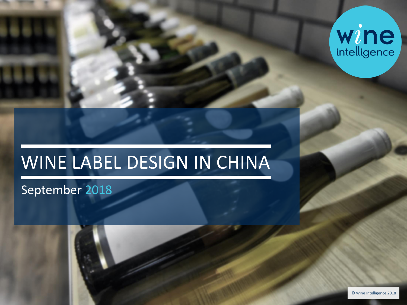

# WINE LABEL DESIGN IN CHINA

# September 2018

© Wine Intelligence 2018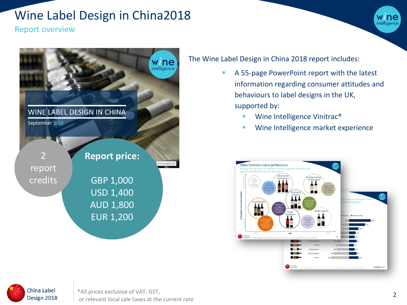# Wine Label Design in China2018

Report overview



### The Wine Label Design in China 2018 report includes:

- A 55-page PowerPoint report with the latest information regarding consumer attitudes and behaviours to label designs in the UK, supported by:
	- Wine Intelligence Vinitrac<sup>®</sup>
	- **■** Wine Intelligence market experience





intelligence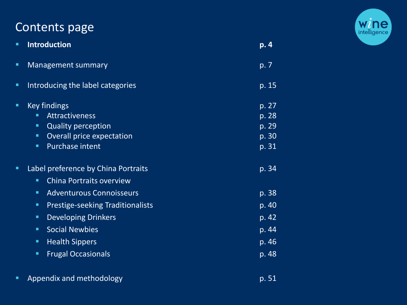# Contents page



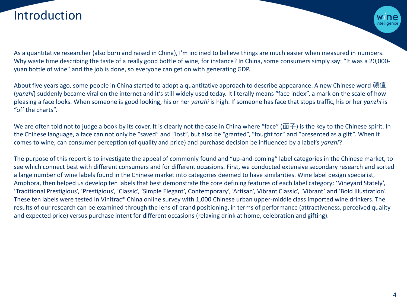# Introduction



As a quantitative researcher (also born and raised in China), I'm inclined to believe things are much easier when measured in numbers. Why waste time describing the taste of a really good bottle of wine, for instance? In China, some consumers simply say: "It was a 20,000yuan bottle of wine" and the job is done, so everyone can get on with generating GDP.

About five years ago, some people in China started to adopt a quantitative approach to describe appearance. A new Chinese word 颜值 (*yanzhi*) suddenly became viral on the internet and it's still widely used today. It literally means "face index", a mark on the scale of how pleasing a face looks. When someone is good looking, his or her *yanzhi* is high. If someone has face that stops traffic, his or her *yanzhi* is "off the charts".

We are often told not to judge a book by its cover. It is clearly not the case in China where "face" (面子) is the key to the Chinese spirit. In the Chinese language, a face can not only be "saved" and "lost", but also be "granted", "fought for" and "presented as a gift". When it comes to wine, can consumer perception (of quality and price) and purchase decision be influenced by a label's *yanzhi*?

The purpose of this report is to investigate the appeal of commonly found and "up-and-coming" label categories in the Chinese market, to see which connect best with different consumers and for different occasions. First, we conducted extensive secondary research and sorted a large number of wine labels found in the Chinese market into categories deemed to have similarities. Wine label design specialist, Amphora, then helped us develop ten labels that best demonstrate the core defining features of each label category: 'Vineyard Stately', 'Traditional Prestigious', 'Prestigious', 'Classic', 'Simple Elegant', Contemporary', 'Artisan', Vibrant Classic', 'Vibrant' and 'Bold Illustration'. These ten labels were tested in Vinitrac® China online survey with 1,000 Chinese urban upper-middle class imported wine drinkers. The results of our research can be examined through the lens of brand positioning, in terms of performance (attractiveness, perceived quality and expected price) versus purchase intent for different occasions (relaxing drink at home, celebration and gifting).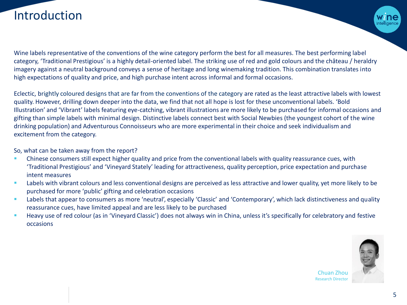# Introduction

Wine labels representative of the conventions of the wine category perform the best for all measures. The best performing label category, 'Traditional Prestigious' is a highly detail-oriented label. The striking use of red and gold colours and the château / heraldry imagery against a neutral background conveys a sense of heritage and long winemaking tradition. This combination translates into high expectations of quality and price, and high purchase intent across informal and formal occasions.

Eclectic, brightly coloured designs that are far from the conventions of the category are rated as the least attractive labels with lowest quality. However, drilling down deeper into the data, we find that not all hope is lost for these unconventional labels. 'Bold Illustration' and 'Vibrant' labels featuring eye-catching, vibrant illustrations are more likely to be purchased for informal occasions and gifting than simple labels with minimal design. Distinctive labels connect best with Social Newbies (the youngest cohort of the wine drinking population) and Adventurous Connoisseurs who are more experimental in their choice and seek individualism and excitement from the category.

So, what can be taken away from the report?

- Chinese consumers still expect higher quality and price from the conventional labels with quality reassurance cues, with 'Traditional Prestigious' and 'Vineyard Stately' leading for attractiveness, quality perception, price expectation and purchase intent measures
- Labels with vibrant colours and less conventional designs are perceived as less attractive and lower quality, yet more likely to be purchased for more 'public' gifting and celebration occasions
- Labels that appear to consumers as more 'neutral', especially 'Classic' and 'Contemporary', which lack distinctiveness and quality reassurance cues, have limited appeal and are less likely to be purchased
- Heavy use of red colour (as in 'Vineyard Classic') does not always win in China, unless it's specifically for celebratory and festive occasions



Chuan Zhou Research Director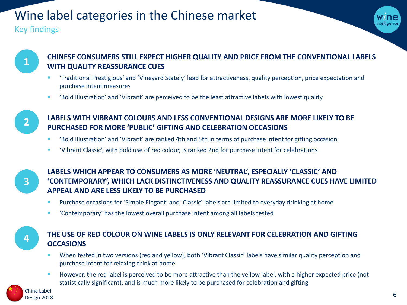# Wine label categories in the Chinese market

### Key findings





### **CHINESE CONSUMERS STILL EXPECT HIGHER QUALITY AND PRICE FROM THE CONVENTIONAL LABELS WITH QUALITY REASSURANCE CUES**

- 'Traditional Prestigious' and 'Vineyard Stately' lead for attractiveness, quality perception, price expectation and purchase intent measures
- Sold Illustration' and 'Vibrant' are perceived to be the least attractive labels with lowest quality



### **LABELS WITH VIBRANT COLOURS AND LESS CONVENTIONAL DESIGNS ARE MORE LIKELY TO BE PURCHASED FOR MORE 'PUBLIC' GIFTING AND CELEBRATION OCCASIONS**

- 'Bold Illustration' and 'Vibrant' are ranked 4th and 5th in terms of purchase intent for gifting occasion
- 'Vibrant Classic', with bold use of red colour, is ranked 2nd for purchase intent for celebrations

**3**

**4**

### **LABELS WHICH APPEAR TO CONSUMERS AS MORE 'NEUTRAL', ESPECIALLY 'CLASSIC' AND 'CONTEMPORARY', WHICH LACK DISTINCTIVENESS AND QUALITY REASSURANCE CUES HAVE LIMITED APPEAL AND ARE LESS LIKELY TO BE PURCHASED**

- Purchase occasions for 'Simple Elegant' and 'Classic' labels are limited to everyday drinking at home
- 'Contemporary' has the lowest overall purchase intent among all labels tested

### **THE USE OF RED COLOUR ON WINE LABELS IS ONLY RELEVANT FOR CELEBRATION AND GIFTING OCCASIONS**

- When tested in two versions (red and yellow), both 'Vibrant Classic' labels have similar quality perception and purchase intent for relaxing drink at home
- However, the red label is perceived to be more attractive than the yellow label, with a higher expected price (not statistically significant), and is much more likely to be purchased for celebration and gifting

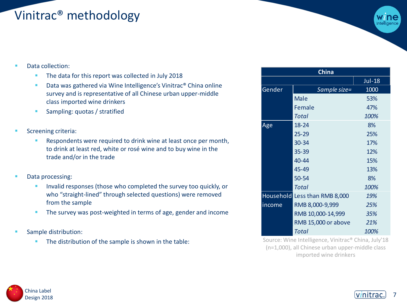# Vinitrac® methodology



- Data collection:
	- The data for this report was collected in July 2018
	- Data was gathered via Wine Intelligence's Vinitrac<sup>®</sup> China online survey and is representative of all Chinese urban upper-middle class imported wine drinkers
	- **EXECUTE: Sampling: quotas / stratified**
- Screening criteria:
	- Respondents were required to drink wine at least once per month, to drink at least red, white or rosé wine and to buy wine in the trade and/or in the trade
- Data processing:
	- **EXEDENT** Invalid responses (those who completed the survey too quickly, or who "straight-lined" through selected questions) were removed from the sample
	- **EXTER 1** The survey was post-weighted in terms of age, gender and income
- Sample distribution:
	- **The distribution of the sample is shown in the table:**

| <b>China</b> |                               |               |
|--------------|-------------------------------|---------------|
|              |                               | <b>Jul-18</b> |
| Gender       | Sample size=                  | 1000          |
|              | <b>Male</b>                   | 53%           |
|              | Female                        | 47%           |
|              | Total                         | 100%          |
| Age          | $18 - 24$                     | 8%            |
|              | $25 - 29$                     | 25%           |
|              | 30-34                         | 17%           |
|              | 35-39                         | 12%           |
|              | 40-44                         | 15%           |
|              | 45-49                         | 13%           |
|              | 50-54                         | 8%            |
|              | Total                         | 100%          |
|              | Household Less than RMB 8,000 | 19%           |
| income       | RMB 8,000-9,999               | 25%           |
|              | RMB 10,000-14,999             | 35%           |
|              | <b>RMB 15,000 or above</b>    | 21%           |
|              | Total                         | 100%          |

Source: Wine Intelligence, Vinitrac® China, July'18 (n=1,000), all Chinese urban upper-middle class imported wine drinkers



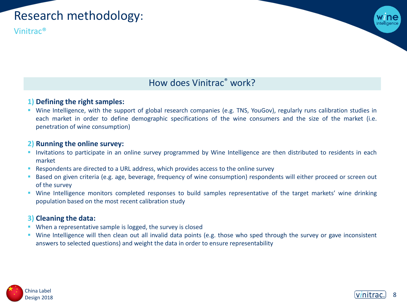# Research methodology:

Vinitrac®



## How does Vinitrac® work?

### **1) Defining the right samples:**

▪ Wine Intelligence, with the support of global research companies (e.g. TNS, YouGov), regularly runs calibration studies in each market in order to define demographic specifications of the wine consumers and the size of the market (i.e. penetration of wine consumption)

#### **2) Running the online survey:**

- **·** Invitations to participate in an online survey programmed by Wine Intelligence are then distributed to residents in each market
- Respondents are directed to a URL address, which provides access to the online survey
- **E** Based on given criteria (e.g. age, beverage, frequency of wine consumption) respondents will either proceed or screen out of the survey
- Wine Intelligence monitors completed responses to build samples representative of the target markets' wine drinking population based on the most recent calibration study

### **3) Cleaning the data:**

- When a representative sample is logged, the survey is closed
- Wine Intelligence will then clean out all invalid data points (e.g. those who sped through the survey or gave inconsistent answers to selected questions) and weight the data in order to ensure representability